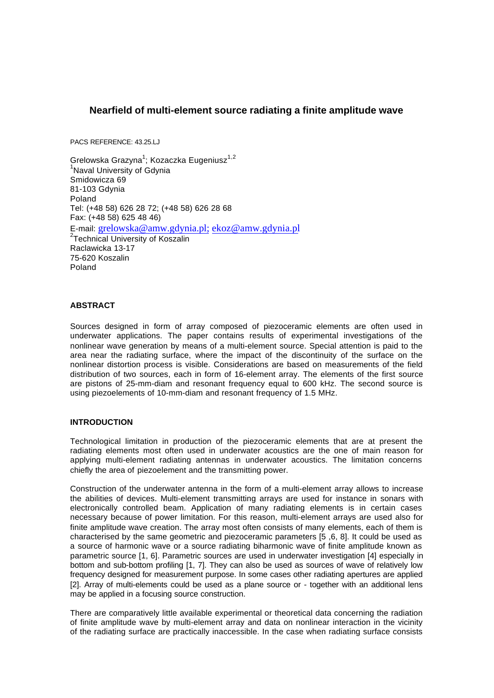# **Nearfield of multi-element source radiating a finite amplitude wave**

PACS REFERENCE: 43.25.LJ

Grelowska Grazyna $^1$ ; Kozaczka Eugeniusz $^{1,2}$ <sup>1</sup>Naval University of Gdynia Smidowicza 69 81-103 Gdynia Poland Tel: (+48 58) 626 28 72; (+48 58) 626 28 68 Fax: (+48 58) 625 48 46) E-mail: grelowska@amw.gdynia.pl; ekoz@amw.gdynia.pl <sup>2</sup>Technical University of Koszalin Raclawicka 13-17 75-620 Koszalin Poland

# **ABSTRACT**

Sources designed in form of array composed of piezoceramic elements are often used in underwater applications. The paper contains results of experimental investigations of the nonlinear wave generation by means of a multi-element source. Special attention is paid to the area near the radiating surface, where the impact of the discontinuity of the surface on the nonlinear distortion process is visible. Considerations are based on measurements of the field distribution of two sources, each in form of 16-element array. The elements of the first source are pistons of 25-mm-diam and resonant frequency equal to 600 kHz. The second source is using piezoelements of 10-mm-diam and resonant frequency of 1.5 MHz.

### **INTRODUCTION**

Technological limitation in production of the piezoceramic elements that are at present the radiating elements most often used in underwater acoustics are the one of main reason for applying multi-element radiating antennas in underwater acoustics. The limitation concerns chiefly the area of piezoelement and the transmitting power.

Construction of the underwater antenna in the form of a multi-element array allows to increase the abilities of devices. Multi-element transmitting arrays are used for instance in sonars with electronically controlled beam. Application of many radiating elements is in certain cases necessary because of power limitation. For this reason, multi-element arrays are used also for finite amplitude wave creation. The array most often consists of many elements, each of them is characterised by the same geometric and piezoceramic parameters [5 ,6, 8]. It could be used as a source of harmonic wave or a source radiating biharmonic wave of finite amplitude known as parametric source [1, 6]. Parametric sources are used in underwater investigation [4] especially in bottom and sub-bottom profiling [1, 7]. They can also be used as sources of wave of relatively low frequency designed for measurement purpose. In some cases other radiating apertures are applied [2]. Array of multi-elements could be used as a plane source or - together with an additional lens may be applied in a focusing source construction.

There are comparatively little available experimental or theoretical data concerning the radiation of finite amplitude wave by multi-element array and data on nonlinear interaction in the vicinity of the radiating surface are practically inaccessible. In the case when radiating surface consists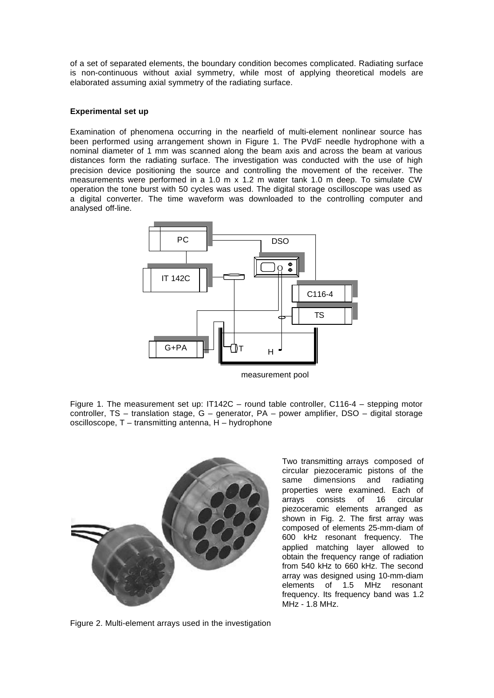of a set of separated elements, the boundary condition becomes complicated. Radiating surface is non-continuous without axial symmetry, while most of applying theoretical models are elaborated assuming axial symmetry of the radiating surface.

### **Experimental set up**

Examination of phenomena occurring in the nearfield of multi-element nonlinear source has been performed using arrangement shown in Figure 1. The PVdF needle hydrophone with a nominal diameter of 1 mm was scanned along the beam axis and across the beam at various distances form the radiating surface. The investigation was conducted with the use of high precision device positioning the source and controlling the movement of the receiver. The measurements were performed in a 1.0 m x 1.2 m water tank 1.0 m deep. To simulate CW operation the tone burst with 50 cycles was used. The digital storage oscilloscope was used as a digital converter. The time waveform was downloaded to the controlling computer and analysed off-line.



measurement pool

Figure 1. The measurement set up: IT142C – round table controller, C116-4 – stepping motor controller, TS – translation stage, G – generator, PA – power amplifier, DSO – digital storage oscilloscope, T – transmitting antenna, H – hydrophone



Two transmitting arrays composed of circular piezoceramic pistons of the same dimensions and radiating properties were examined. Each of arrays consists of 16 circular piezoceramic elements arranged as shown in Fig. 2. The first array was composed of elements 25-mm-diam of 600 kHz resonant frequency. The applied matching layer allowed to obtain the frequency range of radiation from 540 kHz to 660 kHz. The second array was designed using 10-mm-diam elements of 1.5 MHz resonant frequency. Its frequency band was 1.2 MHz - 1.8 MHz.

Figure 2. Multi-element arrays used in the investigation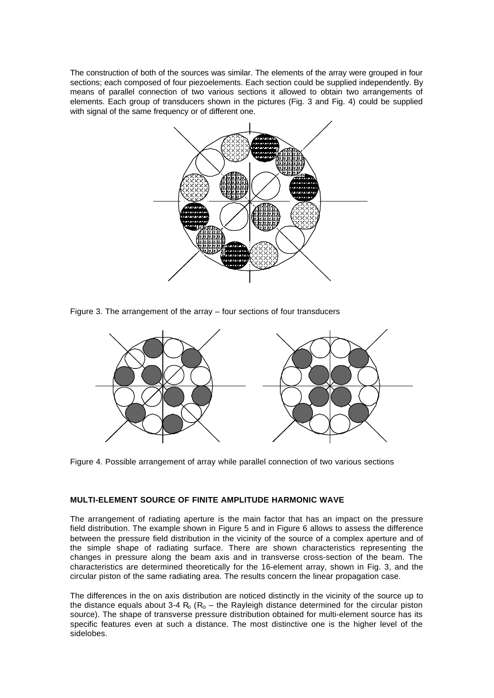The construction of both of the sources was similar. The elements of the array were grouped in four sections; each composed of four piezoelements. Each section could be supplied independently. By means of parallel connection of two various sections it allowed to obtain two arrangements of elements. Each group of transducers shown in the pictures (Fig. 3 and Fig. 4) could be supplied with signal of the same frequency or of different one.



Figure 3. The arrangement of the array – four sections of four transducers



Figure 4. Possible arrangement of array while parallel connection of two various sections

### **MULTI-ELEMENT SOURCE OF FINITE AMPLITUDE HARMONIC WAVE**

The arrangement of radiating aperture is the main factor that has an impact on the pressure field distribution. The example shown in Figure 5 and in Figure 6 allows to assess the difference between the pressure field distribution in the vicinity of the source of a complex aperture and of the simple shape of radiating surface. There are shown characteristics representing the changes in pressure along the beam axis and in transverse cross-section of the beam. The characteristics are determined theoretically for the 16-element array, shown in Fig. 3, and the circular piston of the same radiating area. The results concern the linear propagation case.

The differences in the on axis distribution are noticed distinctly in the vicinity of the source up to the distance equals about 3-4  $R_0$  ( $R_0$  – the Rayleigh distance determined for the circular piston source). The shape of transverse pressure distribution obtained for multi-element source has its specific features even at such a distance. The most distinctive one is the higher level of the sidelobes.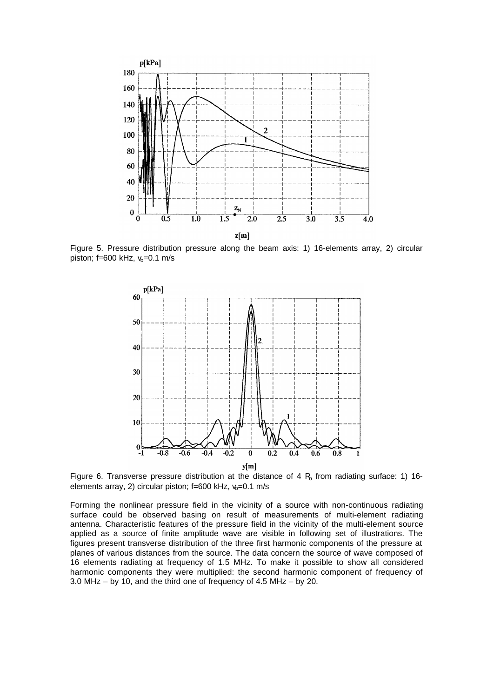

Figure 5. Pressure distribution pressure along the beam axis: 1) 16-elements array, 2) circular piston; f=600 kHz,  $v_0$ =0.1 m/s



Figure 6. Transverse pressure distribution at the distance of 4  $R_0$  from radiating surface: 1) 16elements array, 2) circular piston;  $f=600$  kHz,  $v_0=0.1$  m/s

Forming the nonlinear pressure field in the vicinity of a source with non-continuous radiating surface could be observed basing on result of measurements of multi-element radiating antenna. Characteristic features of the pressure field in the vicinity of the multi-element source applied as a source of finite amplitude wave are visible in following set of illustrations. The figures present transverse distribution of the three first harmonic components of the pressure at planes of various distances from the source. The data concern the source of wave composed of 16 elements radiating at frequency of 1.5 MHz. To make it possible to show all considered harmonic components they were multiplied: the second harmonic component of frequency of 3.0 MHz – by 10, and the third one of frequency of 4.5 MHz – by 20.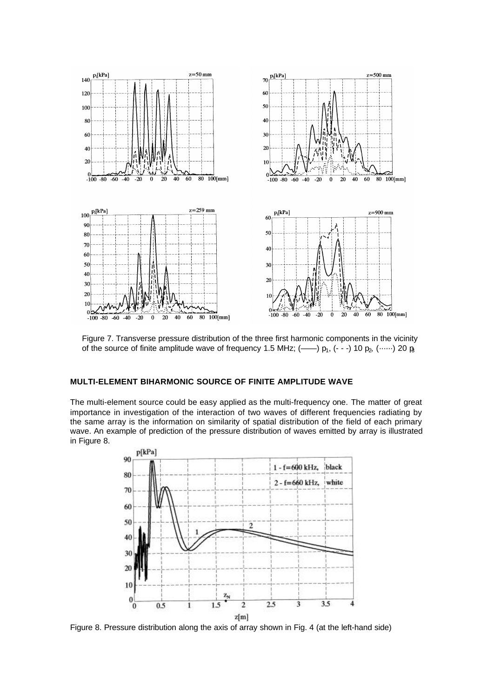

Figure 7. Transverse pressure distribution of the three first harmonic components in the vicinity of the source of finite amplitude wave of frequency 1.5 MHz; (--)  $p_1$ , (---) 10  $p_2$ , (……) 20  $p_3$ 

# **MULTI-ELEMENT BIHARMONIC SOURCE OF FINITE AMPLITUDE WAVE**

The multi-element source could be easy applied as the multi-frequency one. The matter of great importance in investigation of the interaction of two waves of different frequencies radiating by the same array is the information on similarity of spatial distribution of the field of each primary wave. An example of prediction of the pressure distribution of waves emitted by array is illustrated in Figure 8.



Figure 8. Pressure distribution along the axis of array shown in Fig. 4 (at the left-hand side)